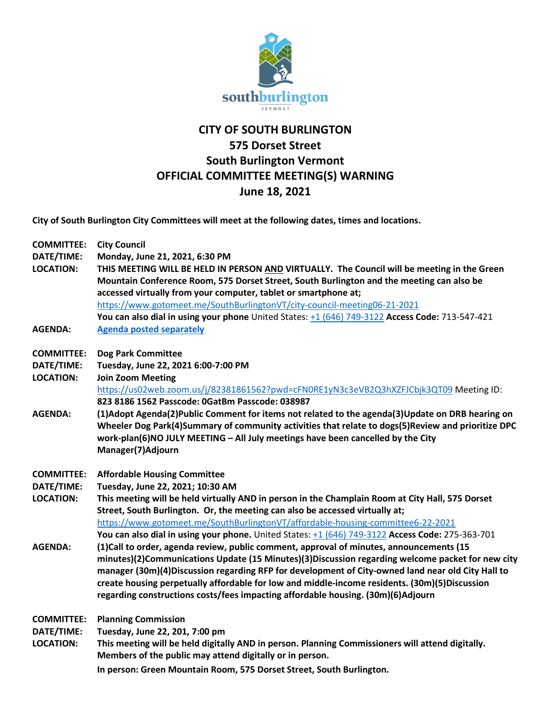

## **CITY OF SOUTH BURLINGTON 575 Dorset Street South Burlington Vermont OFFICIAL COMMITTEE MEETING(S) WARNING June 18, 2021**

**City of South Burlington City Committees will meet at the following dates, times and locations.** 

| <b>COMMITTEE:</b> | <b>City Council</b>                                                                                |
|-------------------|----------------------------------------------------------------------------------------------------|
| DATE/TIME:        | Monday, June 21, 2021, 6:30 PM                                                                     |
| <b>LOCATION:</b>  | THIS MEETING WILL BE HELD IN PERSON AND VIRTUALLY. The Council will be meeting in the Green        |
|                   | Mountain Conference Room, 575 Dorset Street, South Burlington and the meeting can also be          |
|                   | accessed virtually from your computer, tablet or smartphone at;                                    |
|                   | https://www.gotomeet.me/SouthBurlingtonVT/city-council-meeting06-21-2021                           |
|                   | You can also dial in using your phone United States: +1 (646) 749-3122 Access Code: 713-547-421    |
| <b>AGENDA:</b>    | <b>Agenda posted separately</b>                                                                    |
| <b>COMMITTEE:</b> | <b>Dog Park Committee</b>                                                                          |
| DATE/TIME:        | Tuesday, June 22, 2021 6:00-7:00 PM                                                                |
| <b>LOCATION:</b>  | <b>Join Zoom Meeting</b>                                                                           |
|                   | https://us02web.zoom.us/j/82381861562?pwd=cFN0RE1yN3c3eVB2Q3hXZFJCbjk3QT09 Meeting ID:             |
|                   | 823 8186 1562 Passcode: 0GatBm Passcode: 038987                                                    |
| <b>AGENDA:</b>    | (1)Adopt Agenda(2)Public Comment for items not related to the agenda(3)Update on DRB hearing on    |
|                   | Wheeler Dog Park(4)Summary of community activities that relate to dogs(5)Review and prioritize DPC |
|                   | work-plan(6)NO JULY MEETING - All July meetings have been cancelled by the City                    |
|                   | Manager(7)Adjourn                                                                                  |
| <b>COMMITTEE:</b> | <b>Affordable Housing Committee</b>                                                                |
| DATE/TIME:        | Tuesday, June 22, 2021; 10:30 AM                                                                   |
| <b>LOCATION:</b>  | This meeting will be held virtually AND in person in the Champlain Room at City Hall, 575 Dorset   |
|                   | Street, South Burlington. Or, the meeting can also be accessed virtually at;                       |
|                   | https://www.gotomeet.me/SouthBurlingtonVT/affordable-housing-committee6-22-2021                    |
|                   | You can also dial in using your phone. United States: +1 (646) 749-3122 Access Code: 275-363-701   |
| <b>AGENDA:</b>    | (1)Call to order, agenda review, public comment, approval of minutes, announcements (15            |
|                   | minutes)(2)Communications Update (15 Minutes)(3)Discussion regarding welcome packet for new city   |
|                   | manager (30m)(4)Discussion regarding RFP for development of City-owned land near old City Hall to  |
|                   | create housing perpetually affordable for low and middle-income residents. (30m)(5)Discussion      |
|                   | regarding constructions costs/fees impacting affordable housing. (30m)(6)Adjourn                   |
| <b>COMMITTEE:</b> | <b>Planning Commission</b>                                                                         |
| DATE/TIME:        | Tuesday, June 22, 201, 7:00 pm                                                                     |
| <b>LOCATION:</b>  | This meeting will be held digitally AND in person. Planning Commissioners will attend digitally.   |
|                   | Members of the public may attend digitally or in person.                                           |
|                   | In person: Green Mountain Room, 575 Dorset Street, South Burlington.                               |